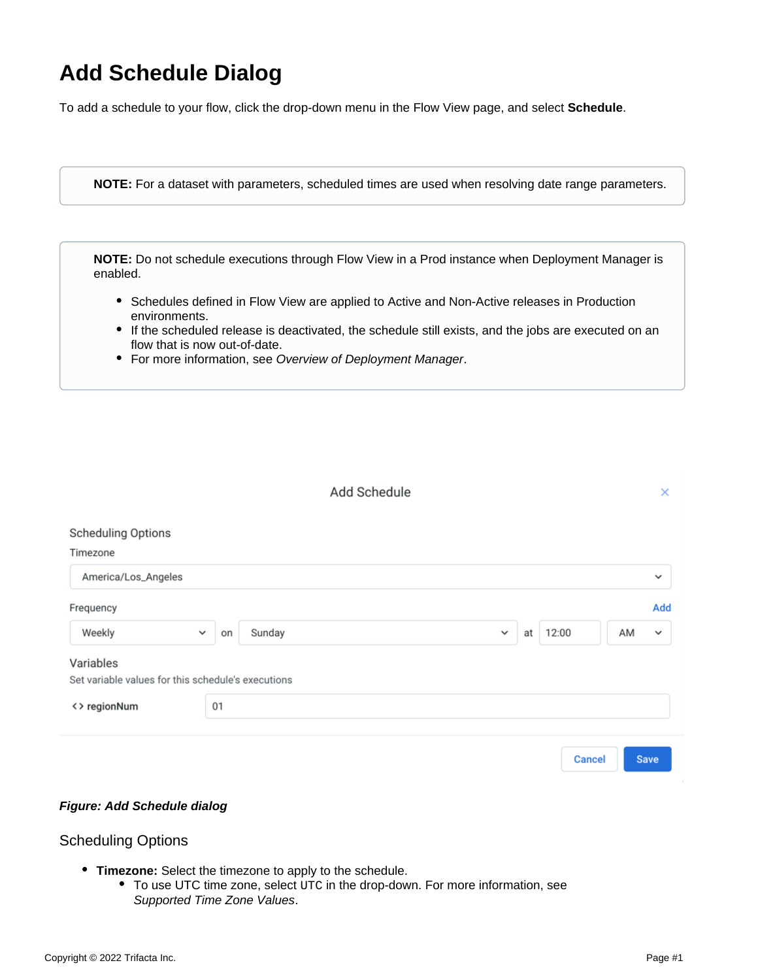## **Add Schedule Dialog**

To add a schedule to your flow, click the drop-down menu in the Flow View page, and select **Schedule**.

**NOTE:** For a dataset with parameters, scheduled times are used when resolving date range parameters.

**NOTE:** Do not schedule executions through Flow View in a Prod instance when Deployment Manager is enabled.

- Schedules defined in Flow View are applied to Active and Non-Active releases in Production environments.
- If the scheduled release is deactivated, the schedule still exists, and the jobs are executed on an flow that is now out-of-date.
- For more information, see [Overview of Deployment Manager](https://docs.trifacta.com/display/r082/Overview+of+Deployment+Manager).

|                                                                 |              |    | Add Schedule |             |    |               |    | ×            |
|-----------------------------------------------------------------|--------------|----|--------------|-------------|----|---------------|----|--------------|
| <b>Scheduling Options</b><br>Timezone                           |              |    |              |             |    |               |    |              |
| America/Los_Angeles                                             |              |    |              |             |    |               |    | $\checkmark$ |
| Frequency                                                       |              |    |              |             |    |               |    | Add          |
| Weekly                                                          | $\checkmark$ | on | Sunday       | $\check{~}$ | at | 12:00         | AM | $\checkmark$ |
| Variables<br>Set variable values for this schedule's executions |              |    |              |             |    |               |    |              |
| <> regionNum                                                    | 01           |    |              |             |    |               |    |              |
|                                                                 |              |    |              |             |    | <b>Cancel</b> |    | <b>Save</b>  |

## **Figure: Add Schedule dialog**

## Scheduling Options

- **Timezone:** Select the timezone to apply to the schedule.
	- To use UTC time zone, select UTC in the drop-down. For more information, see [Supported Time Zone Values](https://docs.trifacta.com/display/r082/Supported+Time+Zone+Values).